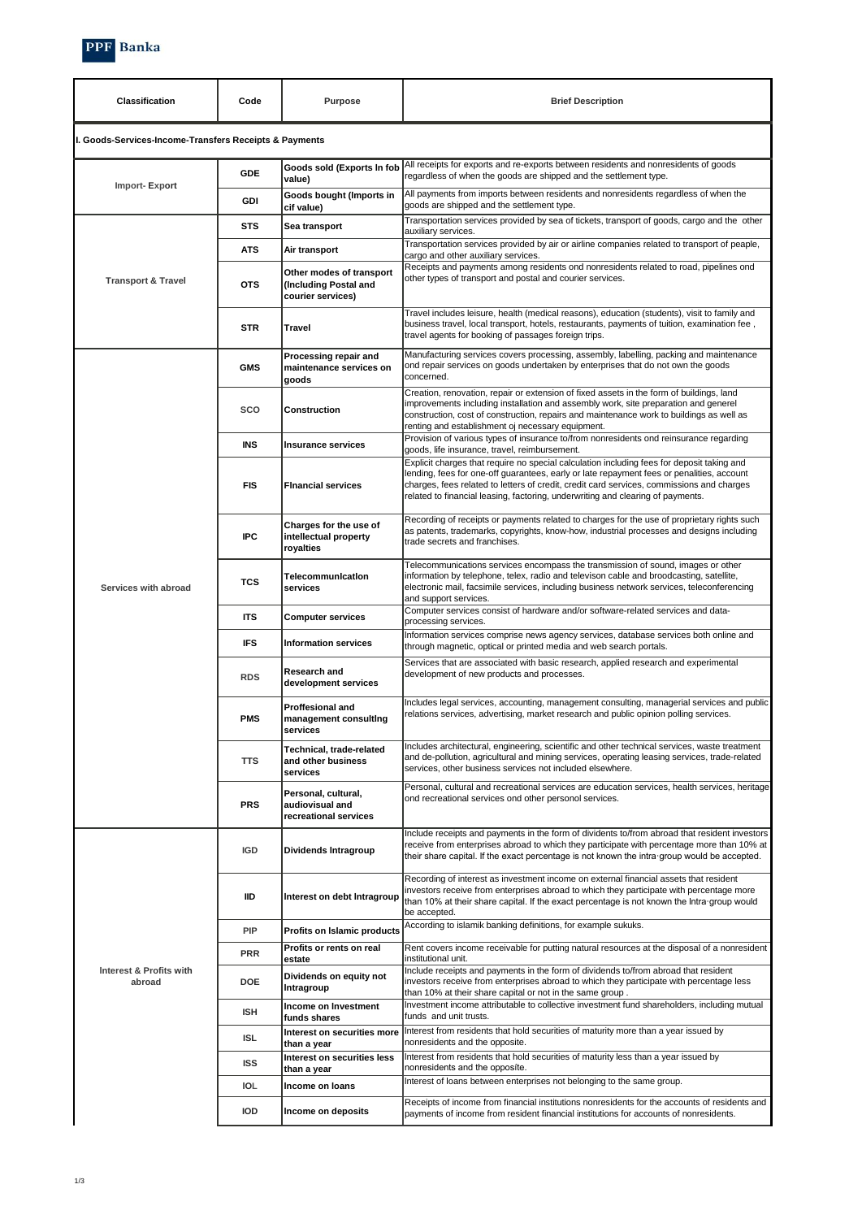

| <b>Classification</b>                                  | Code       | <b>Purpose</b>                                                        | <b>Brief Description</b>                                                                                                                                                                                                                                                                                                                                                |  |  |
|--------------------------------------------------------|------------|-----------------------------------------------------------------------|-------------------------------------------------------------------------------------------------------------------------------------------------------------------------------------------------------------------------------------------------------------------------------------------------------------------------------------------------------------------------|--|--|
| I. Goods-Services-Income-Transfers Receipts & Payments |            |                                                                       |                                                                                                                                                                                                                                                                                                                                                                         |  |  |
| Import-Export                                          | <b>GDE</b> | Goods sold (Exports In fob<br>value)                                  | All receipts for exports and re-exports between residents and nonresidents of goods<br>regardless of when the goods are shipped and the settlement type.                                                                                                                                                                                                                |  |  |
|                                                        | GDI        | Goods bought (Imports in<br>cif value)                                | All payments from imports between residents and nonresidents regardless of when the<br>goods are shipped and the settlement type.                                                                                                                                                                                                                                       |  |  |
|                                                        | <b>STS</b> | Sea transport                                                         | Transportation services provided by sea of tickets, transport of goods, cargo and the other<br>auxiliary services.                                                                                                                                                                                                                                                      |  |  |
|                                                        | <b>ATS</b> | Air transport                                                         | Transportation services provided by air or airline companies related to transport of peaple,<br>cargo and other auxiliary services.                                                                                                                                                                                                                                     |  |  |
| <b>Transport &amp; Travel</b>                          | <b>OTS</b> | Other modes of transport<br>Including Postal and<br>courier services) | Receipts and payments among residents ond nonresidents related to road, pipelines ond<br>other types of transport and postal and courier services.                                                                                                                                                                                                                      |  |  |
|                                                        | <b>STR</b> | Travel                                                                | Travel includes leisure, health (medical reasons), education (students), visit to family and<br>business travel, local transport, hotels, restaurants, payments of tuition, examination fee,<br>travel agents for booking of passages foreign trips.                                                                                                                    |  |  |
|                                                        | GMS        | Processing repair and<br>maintenance services on<br>goods             | Manufacturing services covers processing, assembly, labelling, packing and maintenance<br>ond repair services on goods undertaken by enterprises that do not own the goods<br>concerned.                                                                                                                                                                                |  |  |
|                                                        | sco        | Construction                                                          | Creation, renovation, repair or extension of fixed assets in the form of buildings, land<br>improvements including installation and assembly work, site preparation and generel<br>construction, cost of construction, repairs and maintenance work to buildings as well as<br>renting and establishment oj necessary equipment.                                        |  |  |
|                                                        | <b>INS</b> | Insurance services                                                    | Provision of various types of insurance to/from nonresidents ond reinsurance regarding<br>goods, life insurance, travel, reimbursement.                                                                                                                                                                                                                                 |  |  |
|                                                        | <b>FIS</b> | Financial services                                                    | Explicit charges that require no special calculation including fees for deposit taking and<br>lending, fees for one-off guarantees, early or late repayment fees or penalities, account<br>charges, fees related to letters of credit, credit card services, commissions and charges<br>related to financial leasing, factoring, underwriting and clearing of payments. |  |  |
|                                                        | <b>IPC</b> | Charges for the use of<br>intellectual property<br>royalties          | Recording of receipts or payments related to charges for the use of proprietary rights such<br>as patents, trademarks, copyrights, know-how, industrial processes and designs including<br>trade secrets and franchises.                                                                                                                                                |  |  |
| Services with abroad                                   | TCS        | Telecommunication<br>services                                         | Telecommunications services encompass the transmission of sound, images or other<br>information by telephone, telex, radio and televison cable and broodcasting, satellite,<br>electronic mail, facsimile services, including business network services, teleconferencing<br>and support services.                                                                      |  |  |
|                                                        | <b>ITS</b> | <b>Computer services</b>                                              | Computer services consist of hardware and/or software-related services and data-<br>processing services.                                                                                                                                                                                                                                                                |  |  |
|                                                        | IFS        | <b>Information services</b>                                           | Information services comprise news agency services, database services both online and<br>through magnetic, optical or printed media and web search portals.                                                                                                                                                                                                             |  |  |
|                                                        | <b>RDS</b> | Research and<br>development services                                  | Services that are associated with basic research, applied research and experimental<br>development of new products and processes.                                                                                                                                                                                                                                       |  |  |
|                                                        | PMS        | <b>Proffesional and</b><br>management consulting<br>services          | Includes legal services, accounting, management consulting, managerial services and public<br>relations services, advertising, market research and public opinion polling services.                                                                                                                                                                                     |  |  |
|                                                        | <b>TTS</b> | Technical, trade-related<br>and other business<br>services            | Includes architectural, engineering, scientific and other technical services, waste treatment<br>and de-pollution, agricultural and mining services, operating leasing services, trade-related<br>services, other business services not included elsewhere.                                                                                                             |  |  |
|                                                        | <b>PRS</b> | Personal, cultural,<br>audiovisual and<br>recreational services       | Personal, cultural and recreational services are education services, health services, heritage<br>ond recreational services ond other personol services.                                                                                                                                                                                                                |  |  |
|                                                        | <b>IGD</b> | Dividends Intragroup                                                  | Include receipts and payments in the form of dividents to/from abroad that resident investors<br>receive from enterprises abroad to which they participate with percentage more than 10% at<br>their share capital. If the exact percentage is not known the intra group would be accepted.                                                                             |  |  |
|                                                        | IID        | Interest on debt Intragroup                                           | Recording of interest as investment income on external financial assets that resident<br>investors receive from enterprises abroad to which they participate with percentage more<br>than 10% at their share capital. If the exact percentage is not known the Intra group would<br>be accepted.                                                                        |  |  |
|                                                        | PIP        | Profits on Islamic products                                           | According to islamik banking definitions, for example sukuks.                                                                                                                                                                                                                                                                                                           |  |  |
|                                                        | <b>PRR</b> | Profits or rents on real<br>estate                                    | Rent covers income receivable for putting natural resources at the disposal of a nonresident<br>institutional unit.                                                                                                                                                                                                                                                     |  |  |
| Interest & Profits with<br>abroad                      | DOE        | Dividends on equity not<br>Intragroup                                 | Include receipts and payments in the form of dividends to/from abroad that resident<br>investors receive from enterprises abroad to which they participate with percentage less<br>than 10% at their share capital or not in the same group.                                                                                                                            |  |  |
|                                                        | <b>ISH</b> | Income on Investment<br>funds shares                                  | Investment income attributable to collective investment fund shareholders, including mutual<br>funds and unit trusts.                                                                                                                                                                                                                                                   |  |  |
|                                                        | ISL        | Interest on securities more<br>than a year                            | Interest from residents that hold securities of maturity more than a year issued by<br>nonresidents and the opposite.                                                                                                                                                                                                                                                   |  |  |
|                                                        | <b>ISS</b> | Interest on securities less                                           | Interest from residents that hold securities of maturity less than a year issued by<br>nonresidents and the opposite.                                                                                                                                                                                                                                                   |  |  |
|                                                        | IOL        | than a year<br>Income on Ioans                                        | Interest of loans between enterprises not belonging to the same group.                                                                                                                                                                                                                                                                                                  |  |  |
|                                                        | IOD        | Income on deposits                                                    | Receipts of income from financial institutions nonresidents for the accounts of residents and<br>payments of income from resident financial institutions for accounts of nonresidents.                                                                                                                                                                                  |  |  |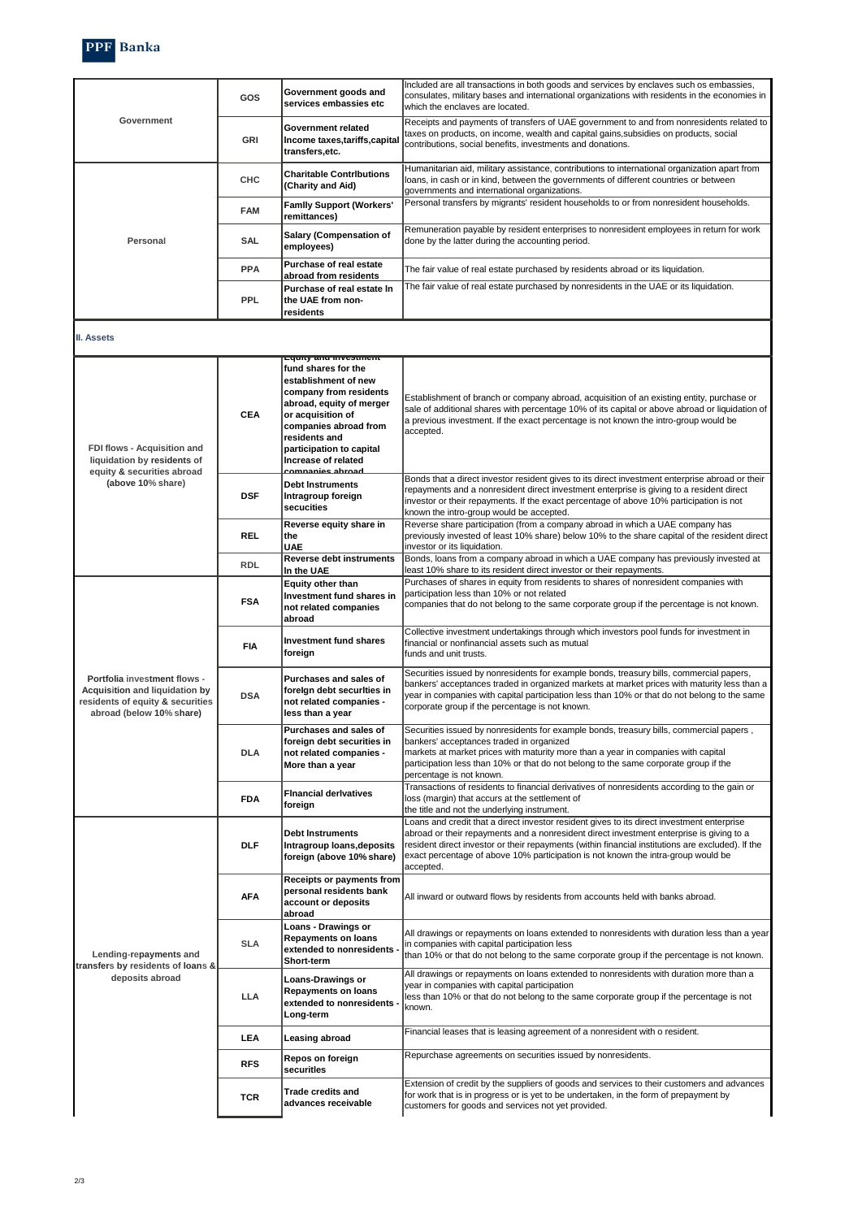

| Government                                                                                                                     | GOS        | Government goods and<br>services embassies etc                                                                                                                                                                                                                   | Included are all transactions in both goods and services by enclaves such os embassies,<br>consulates, military bases and international organizations with residents in the economies in<br>which the enclaves are located.                                                                                                                                                                   |  |  |  |  |
|--------------------------------------------------------------------------------------------------------------------------------|------------|------------------------------------------------------------------------------------------------------------------------------------------------------------------------------------------------------------------------------------------------------------------|-----------------------------------------------------------------------------------------------------------------------------------------------------------------------------------------------------------------------------------------------------------------------------------------------------------------------------------------------------------------------------------------------|--|--|--|--|
|                                                                                                                                | GRI        | Government related<br>Income taxes,tariffs,capita<br>transfers, etc.                                                                                                                                                                                             | Receipts and payments of transfers of UAE government to and from nonresidents related to<br>taxes on products, on income, wealth and capital gains, subsidies on products, social<br>contributions, social benefits, investments and donations.                                                                                                                                               |  |  |  |  |
| Personal                                                                                                                       | CHC        | <b>Charitable Contributions</b><br>(Charity and Aid)                                                                                                                                                                                                             | Humanitarian aid, military assistance, contributions to international organization apart from<br>loans, in cash or in kind, between the governments of different countries or between<br>governments and international organizations.                                                                                                                                                         |  |  |  |  |
|                                                                                                                                | <b>FAM</b> | <b>Family Support (Workers'</b><br>remittances)                                                                                                                                                                                                                  | Personal transfers by migrants' resident households to or from nonresident households.                                                                                                                                                                                                                                                                                                        |  |  |  |  |
|                                                                                                                                | <b>SAL</b> | <b>Salary (Compensation of</b><br>employees)                                                                                                                                                                                                                     | Remuneration payable by resident enterprises to nonresident employees in return for work<br>done by the latter during the accounting period.                                                                                                                                                                                                                                                  |  |  |  |  |
|                                                                                                                                | <b>PPA</b> | <b>Purchase of real estate</b><br>abroad from residents                                                                                                                                                                                                          | The fair value of real estate purchased by residents abroad or its liquidation.                                                                                                                                                                                                                                                                                                               |  |  |  |  |
|                                                                                                                                | <b>PPL</b> | Purchase of real estate In<br>the UAE from non-<br>residents                                                                                                                                                                                                     | The fair value of real estate purchased by nonresidents in the UAE or its liquidation.                                                                                                                                                                                                                                                                                                        |  |  |  |  |
| ll. Assets                                                                                                                     |            |                                                                                                                                                                                                                                                                  |                                                                                                                                                                                                                                                                                                                                                                                               |  |  |  |  |
| FDI flows - Acquisition and<br>liquidation by residents of<br>equity & securities abroad<br>(above 10% share)                  | <b>CEA</b> | Equity and investment<br>fund shares for the<br>establishment of new<br>company from residents<br>abroad, equity of merger<br>or acquisition of<br>companies abroad from<br>residents and<br>participation to capital<br>Increase of related<br>وماليا والمستوين | Establishment of branch or company abroad, acquisition of an existing entity, purchase or<br>sale of additional shares with percentage 10% of its capital or above abroad or liquidation of<br>a previous investment. If the exact percentage is not known the intro-group would be<br>accepted.                                                                                              |  |  |  |  |
|                                                                                                                                | <b>DSF</b> | <b>Debt Instruments</b><br>Intragroup foreign<br>secucities                                                                                                                                                                                                      | Bonds that a direct investor resident gives to its direct investment enterprise abroad or their<br>repayments and a nonresident direct investment enterprise is giving to a resident direct<br>investor or their repayments. If the exact percentage of above 10% participation is not<br>known the intro-group would be accepted.                                                            |  |  |  |  |
|                                                                                                                                | <b>REL</b> | Reverse equity share in<br>the<br><b>UAE</b>                                                                                                                                                                                                                     | Reverse share participation (from a company abroad in which a UAE company has<br>previously invested of least 10% share) below 10% to the share capital of the resident direct<br>investor or its liquidation.                                                                                                                                                                                |  |  |  |  |
|                                                                                                                                | <b>RDL</b> | Reverse debt instruments<br>In the UAE                                                                                                                                                                                                                           | Bonds, loans from a company abroad in which a UAE company has previously invested at<br>least 10% share to its resident direct investor or their repayments.                                                                                                                                                                                                                                  |  |  |  |  |
| Portfolia investment flows -<br>Acquisition and liquidation by<br>residents of equity & securities<br>abroad (below 10% share) | <b>FSA</b> | Equity other than<br>Investment fund shares in<br>not related companies<br>abroad                                                                                                                                                                                | Purchases of shares in equity from residents to shares of nonresident companies with<br>participation less than 10% or not related<br>companies that do not belong to the same corporate group if the percentage is not known.                                                                                                                                                                |  |  |  |  |
|                                                                                                                                | FIA        | <b>Investment fund shares</b><br>foreign                                                                                                                                                                                                                         | Collective investment undertakings through which investors pool funds for investment in<br>financial or nonfinancial assets such as mutual<br>funds and unit trusts.                                                                                                                                                                                                                          |  |  |  |  |
|                                                                                                                                | <b>DSA</b> | Purchases and sales of<br>foreign debt securities in<br>not related companies -<br>less than a year                                                                                                                                                              | Securities issued by nonresidents for example bonds, treasury bills, commercial papers,<br>bankers' acceptances traded in organized markets at market prices with maturity less than a<br>year in companies with capital participation less than 10% or that do not belong to the same<br>corporate group if the percentage is not known.                                                     |  |  |  |  |
|                                                                                                                                | <b>DLA</b> | Purchases and sales of<br>foreign debt securities in<br>not related companies -<br>More than a year                                                                                                                                                              | Securities issued by nonresidents for example bonds, treasury bills, commercial papers,<br>bankers' acceptances traded in organized<br>markets at market prices with maturity more than a year in companies with capital<br>participation less than 10% or that do not belong to the same corporate group if the<br>percentage is not known.                                                  |  |  |  |  |
|                                                                                                                                | <b>FDA</b> | <b>Financial derivatives</b><br>foreign                                                                                                                                                                                                                          | Transactions of residents to financial derivatives of nonresidents according to the gain or<br>loss (margin) that accurs at the settlement of<br>the title and not the underlying instrument.                                                                                                                                                                                                 |  |  |  |  |
| Lending-repayments and<br>transfers by residents of loans &<br>deposits abroad                                                 | <b>DLF</b> | <b>Debt Instruments</b><br>Intragroup loans, deposits<br>foreign (above 10% share)                                                                                                                                                                               | Loans and credit that a direct investor resident gives to its direct investment enterprise<br>abroad or their repayments and a nonresident direct investment enterprise is giving to a<br>resident direct investor or their repayments (within financial institutions are excluded). If the<br>exact percentage of above 10% participation is not known the intra-group would be<br>accepted. |  |  |  |  |
|                                                                                                                                | <b>AFA</b> | Receipts or payments from<br>personal residents bank<br>account or deposits<br>abroad                                                                                                                                                                            | All inward or outward flows by residents from accounts held with banks abroad.                                                                                                                                                                                                                                                                                                                |  |  |  |  |
|                                                                                                                                | <b>SLA</b> | <b>Loans - Drawings or</b><br><b>Repayments on loans</b><br>extended to nonresidents<br>Short-term                                                                                                                                                               | All drawings or repayments on loans extended to nonresidents with duration less than a year<br>in companies with capital participation less<br>than 10% or that do not belong to the same corporate group if the percentage is not known.                                                                                                                                                     |  |  |  |  |
|                                                                                                                                | <b>LLA</b> | <b>Loans-Drawings or</b><br><b>Repayments on loans</b><br>extended to nonresidents<br>Long-term                                                                                                                                                                  | All drawings or repayments on loans extended to nonresidents with duration more than a<br>year in companies with capital participation<br>less than 10% or that do not belong to the same corporate group if the percentage is not<br>known.                                                                                                                                                  |  |  |  |  |
|                                                                                                                                | LEA        | Leasing abroad                                                                                                                                                                                                                                                   | Financial leases that is leasing agreement of a nonresident with o resident.                                                                                                                                                                                                                                                                                                                  |  |  |  |  |
|                                                                                                                                | <b>RFS</b> | Repos on foreign<br>securitles                                                                                                                                                                                                                                   | Repurchase agreements on securities issued by nonresidents.                                                                                                                                                                                                                                                                                                                                   |  |  |  |  |
|                                                                                                                                | <b>TCR</b> | Trade credits and<br>advances receivable                                                                                                                                                                                                                         | Extension of credit by the suppliers of goods and services to their customers and advances<br>for work that is in progress or is yet to be undertaken, in the form of prepayment by<br>customers for goods and services not yet provided.                                                                                                                                                     |  |  |  |  |